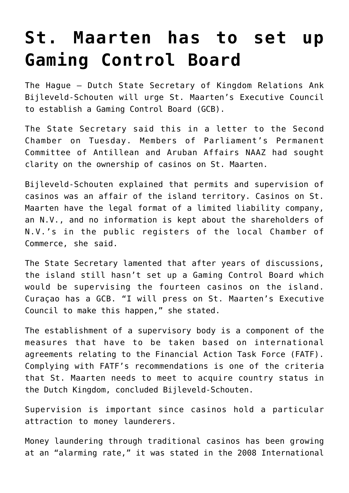## **[St. Maarten has to set up](https://www.isa-guide.de/english-news/articles/25235.html) [Gaming Control Board](https://www.isa-guide.de/english-news/articles/25235.html)**

The Hague – Dutch State Secretary of Kingdom Relations Ank Bijleveld-Schouten will urge St. Maarten's Executive Council to establish a Gaming Control Board (GCB).

The State Secretary said this in a letter to the Second Chamber on Tuesday. Members of Parliament's Permanent Committee of Antillean and Aruban Affairs NAAZ had sought clarity on the ownership of casinos on St. Maarten.

Bijleveld-Schouten explained that permits and supervision of casinos was an affair of the island territory. Casinos on St. Maarten have the legal format of a limited liability company, an N.V., and no information is kept about the shareholders of N.V.'s in the public registers of the local Chamber of Commerce, she said.

The State Secretary lamented that after years of discussions, the island still hasn't set up a Gaming Control Board which would be supervising the fourteen casinos on the island. Curaçao has a GCB. "I will press on St. Maarten's Executive Council to make this happen," she stated.

The establishment of a supervisory body is a component of the measures that have to be taken based on international agreements relating to the Financial Action Task Force (FATF). Complying with FATF's recommendations is one of the criteria that St. Maarten needs to meet to acquire country status in the Dutch Kingdom, concluded Bijleveld-Schouten.

Supervision is important since casinos hold a particular attraction to money launderers.

Money laundering through traditional casinos has been growing at an "alarming rate," it was stated in the 2008 International